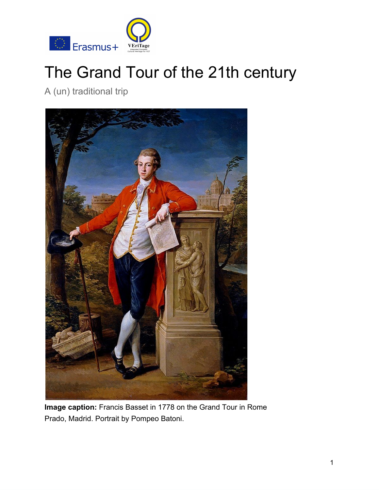

# The Grand Tour of the 21th century

A (un) traditional trip



**Image caption:** Francis Basset in 1778 on the Grand Tour in Rome Prado, Madrid. Portrait by Pompeo Batoni.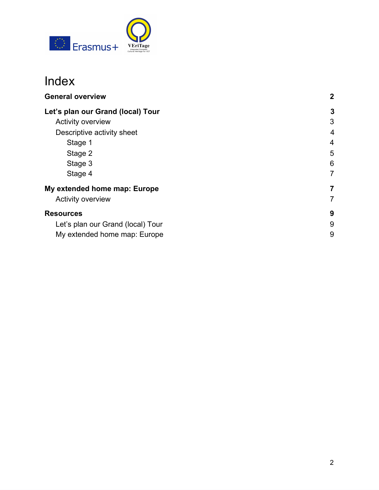

# Index

| <b>General overview</b>           | $\mathbf{2}$ |
|-----------------------------------|--------------|
| Let's plan our Grand (local) Tour | 3            |
| <b>Activity overview</b>          | 3            |
| Descriptive activity sheet        | 4            |
| Stage 1                           | 4            |
| Stage 2                           | 5            |
| Stage 3                           | 6            |
| Stage 4                           | 7            |
| My extended home map: Europe      | 7            |
| <b>Activity overview</b>          | 7            |
| <b>Resources</b>                  | 9            |
| Let's plan our Grand (local) Tour | 9            |
| My extended home map: Europe      | 9            |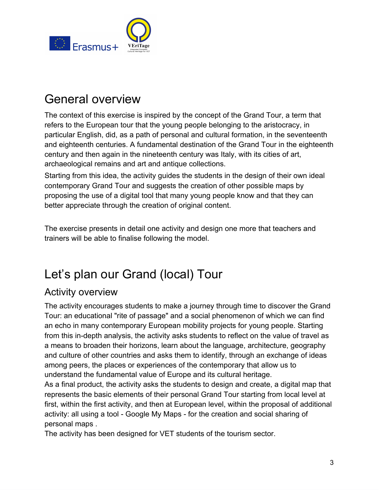

# General overview

The context of this exercise is inspired by the concept of the Grand Tour, a term that refers to the European tour that the young people belonging to the aristocracy, in particular English, did, as a path of personal and cultural formation, in the seventeenth and eighteenth centuries. A fundamental destination of the Grand Tour in the eighteenth century and then again in the nineteenth century was Italy, with its cities of art, archaeological remains and art and antique collections.

Starting from this idea, the activity guides the students in the design of their own ideal contemporary Grand Tour and suggests the creation of other possible maps by proposing the use of a digital tool that many young people know and that they can better appreciate through the creation of original content.

The exercise presents in detail one activity and design one more that teachers and trainers will be able to finalise following the model.

# <span id="page-2-0"></span>Let's plan our Grand (local) Tour

### <span id="page-2-1"></span>Activity overview

The activity encourages students to make a journey through time to discover the Grand Tour: an educational "rite of passage" and a social phenomenon of which we can find an echo in many contemporary European mobility projects for young people. Starting from this in-depth analysis, the activity asks students to reflect on the value of travel as a means to broaden their horizons, learn about the language, architecture, geography and culture of other countries and asks them to identify, through an exchange of ideas among peers, the places or experiences of the contemporary that allow us to understand the fundamental value of Europe and its cultural heritage.

As a final product, the activity asks the students to design and create, a digital map that represents the basic elements of their personal Grand Tour starting from local level at first, within the first activity, and then at European level, within the proposal of additional activity: all using a tool - Google My Maps - for the creation and social sharing of personal maps .

The activity has been designed for VET students of the tourism sector.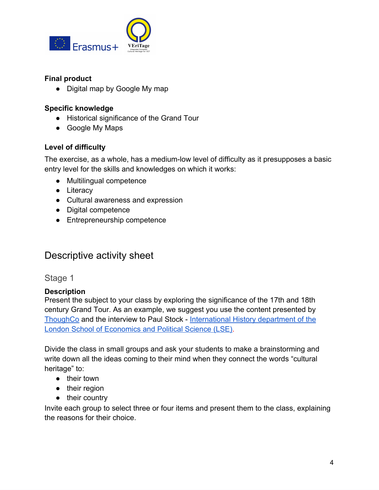

#### **Final product**

• Digital map by Google My map

#### **Specific knowledge**

- Historical significance of the Grand Tour
- Google My Maps

#### **Level of difficulty**

The exercise, as a whole, has a medium-low level of difficulty as it presupposes a basic entry level for the skills and knowledges on which it works:

- Multilingual competence
- Literacy
- Cultural awareness and expression
- Digital competence
- Entrepreneurship competenc**e**

### <span id="page-3-0"></span>Descriptive activity sheet

#### <span id="page-3-1"></span>Stage 1

#### **Description**

Present the subject to your class by exploring the significance of the 17th and 18th century Grand Tour. As an example, we suggest you use the content presented by [ThoughCo](https://www.thoughtco.com/grand-tour-of-europe-1435014) and the interview to Paul Stock - [International History department of the](https://artsandculture.google.com/project/street-view) [London School of Economics and Political Science \(LSE\).](https://artsandculture.google.com/project/street-view)

Divide the class in small groups and ask your students to make a brainstorming and write down all the ideas coming to their mind when they connect the words "cultural heritage" to:

- their town
- their region
- their country

Invite each group to select three or four items and present them to the class, explaining the reasons for their choice.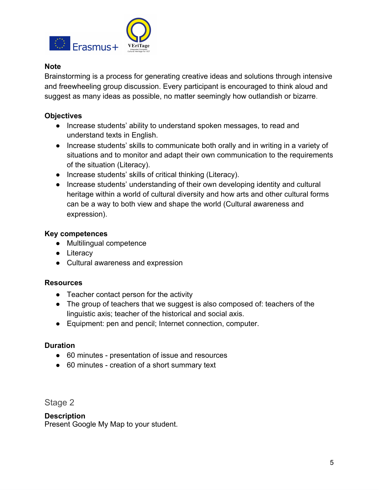

#### **Note**

Brainstorming is a process for generating creative ideas and solutions through intensive and freewheeling group discussion. Every participant is encouraged to think aloud and suggest as many ideas as possible, no matter seemingly how outlandish or bizarre.

#### **Objectives**

- Increase students' ability to understand spoken messages, to read and understand texts in English.
- Increase students' skills to communicate both orally and in writing in a variety of situations and to monitor and adapt their own communication to the requirements of the situation (Literacy).
- Increase students' skills of critical thinking (Literacy).
- Increase students' understanding of their own developing identity and cultural heritage within a world of cultural diversity and how arts and other cultural forms can be a way to both view and shape the world (Cultural awareness and expression).

#### **Key competences**

- Multilingual competence
- Literacy
- Cultural awareness and expression

#### **Resources**

- Teacher contact person for the activity
- The group of teachers that we suggest is also composed of: teachers of the linguistic axis; teacher of the historical and social axis.
- Equipment: pen and pencil; Internet connection, computer.

#### **Duration**

- 60 minutes presentation of issue and resources
- 60 minutes creation of a short summary text

<span id="page-4-0"></span>Stage 2

#### **Description**

Present Google My Map to your student.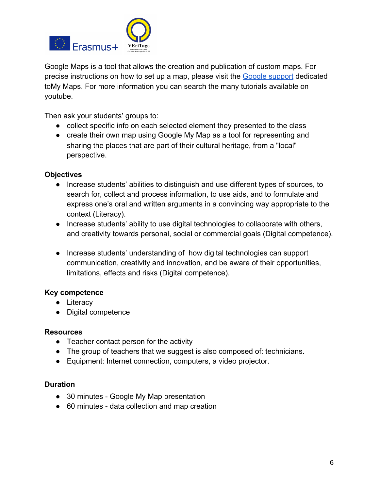

Google Maps is a tool that allows the creation and publication of custom maps. For precise instructions on how to set up a map, please visit the **[Google support](https://support.google.com/mymaps/?hl=en#topic=3188329)** dedicated toMy Maps. For more information you can search the many tutorials available on youtube.

Then ask your students' groups to:

- collect specific info on each selected element they presented to the class
- create their own map using Google My Map as a tool for representing and sharing the places that are part of their cultural heritage, from a "local" perspective.

#### **Objectives**

- Increase students' abilities to distinguish and use different types of sources, to search for, collect and process information, to use aids, and to formulate and express one's oral and written arguments in a convincing way appropriate to the context (Literacy).
- Increase students' ability to use digital technologies to collaborate with others, and creativity towards personal, social or commercial goals (Digital competence).
- Increase students' understanding of how digital technologies can support communication, creativity and innovation, and be aware of their opportunities, limitations, effects and risks (Digital competence).

#### **Key competence**

- Literacy
- Digital competence

#### **Resources**

- Teacher contact person for the activity
- The group of teachers that we suggest is also composed of: technicians.
- Equipment: Internet connection, computers, a video projector.

#### **Duration**

- 30 minutes Google My Map presentation
- 60 minutes data collection and map creation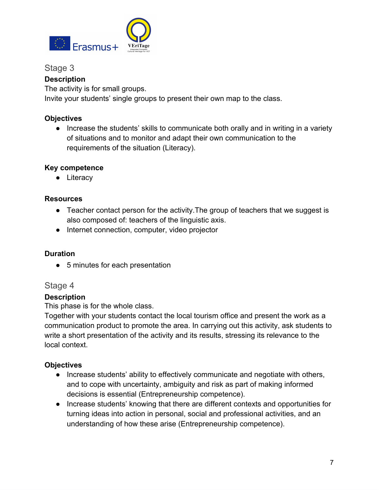

#### <span id="page-6-0"></span>Stage 3

#### **Description**

The activity is for small groups.

Invite your students' single groups to present their own map to the class.

#### **Objectives**

• Increase the students' skills to communicate both orally and in writing in a variety of situations and to monitor and adapt their own communication to the requirements of the situation (Literacy).

#### **Key competence**

● Literacy

#### **Resources**

- Teacher contact person for the activity.The group of teachers that we suggest is also composed of: teachers of the linguistic axis.
- Internet connection, computer, video projector

#### **Duration**

● 5 minutes for each presentation

#### <span id="page-6-1"></span>Stage 4

#### **Description**

This phase is for the whole class.

Together with your students contact the local tourism office and present the work as a communication product to promote the area. In carrying out this activity, ask students to write a short presentation of the activity and its results, stressing its relevance to the local context.

#### **Objectives**

- Increase students' ability to effectively communicate and negotiate with others, and to cope with uncertainty, ambiguity and risk as part of making informed decisions is essential (Entrepreneurship competence).
- Increase students' knowing that there are different contexts and opportunities for turning ideas into action in personal, social and professional activities, and an understanding of how these arise (Entrepreneurship competence).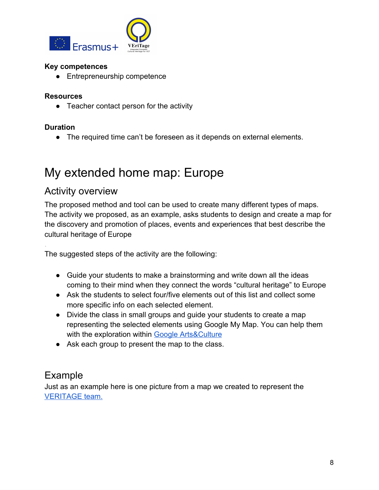

#### **Key competences**

● Entrepreneurship competence

#### **Resources**

● Teacher contact person for the activity

#### **Duration**

.

● The required time can't be foreseen as it depends on external elements.

# <span id="page-7-0"></span>My extended home map: Europe

### <span id="page-7-1"></span>Activity overview

The proposed method and tool can be used to create many different types of maps. The activity we proposed, as an example, asks students to design and create a map for the discovery and promotion of places, events and experiences that best describe the cultural heritage of Europe

The suggested steps of the activity are the following:

- Guide your students to make a brainstorming and write down all the ideas coming to their mind when they connect the words "cultural heritage" to Europe
- Ask the students to select four/five elements out of this list and collect some more specific info on each selected element.
- Divide the class in small groups and quide your students to create a map representing the selected elements using Google My Map. You can help them with the exploration within [Google Arts&Culture](https://artsandculture.google.com/)
- Ask each group to present the map to the class.

### Example

Just as an example here is one picture from a map we created to represent the [VERITAGE team](https://www.google.com/maps/d/viewer?hl=it&mid=1HnrBy8DOxzR38WnjN2wAPqmbv4veAVwm&ll=47.97300679913293%2C11.898487550000027&z=4)[.](https://www.google.com/maps/d/viewer?hl=it&mid=1HnrBy8DOxzR38WnjN2wAPqmbv4veAVwm&ll=41.054177868109136%2C25.44772626625692&z=3)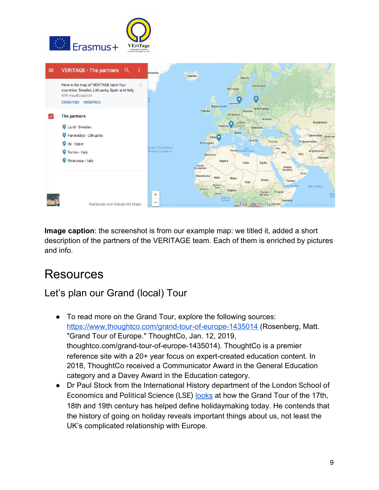



**Image caption:** the screenshot is from our example map: we titled it, added a short description of the partners of the VERITAGE team. Each of them is enriched by pictures and info.

# <span id="page-8-0"></span>**Resources**

### <span id="page-8-1"></span>Let's plan our Grand (local) Tour

- To read more on the Grand Tour, explore the following sources: <https://www.thoughtco.com/grand-tour-of-europe-1435014>(Rosenberg, Matt. "Grand Tour of Europe." ThoughtCo, Jan. 12, 2019, thoughtco.com/grand-tour-of-europe-1435014). ThoughtCo is a premier reference site with a 20+ year focus on expert-created education content. In 2018, ThoughtCo received a Communicator Award in the General Education category and a Davey Award in the Education category.
- Dr Paul Stock from the International History department of the London School of Economics and Political Science (LSE) [looks](https://www.youtube.com/watch?v=oJ3DgrGswxg) at how the Grand Tour of the 17th, 18th and 19th century has helped define holidaymaking today. He contends that the history of going on holiday reveals important things about us, not least the UK's complicated relationship with Europe.